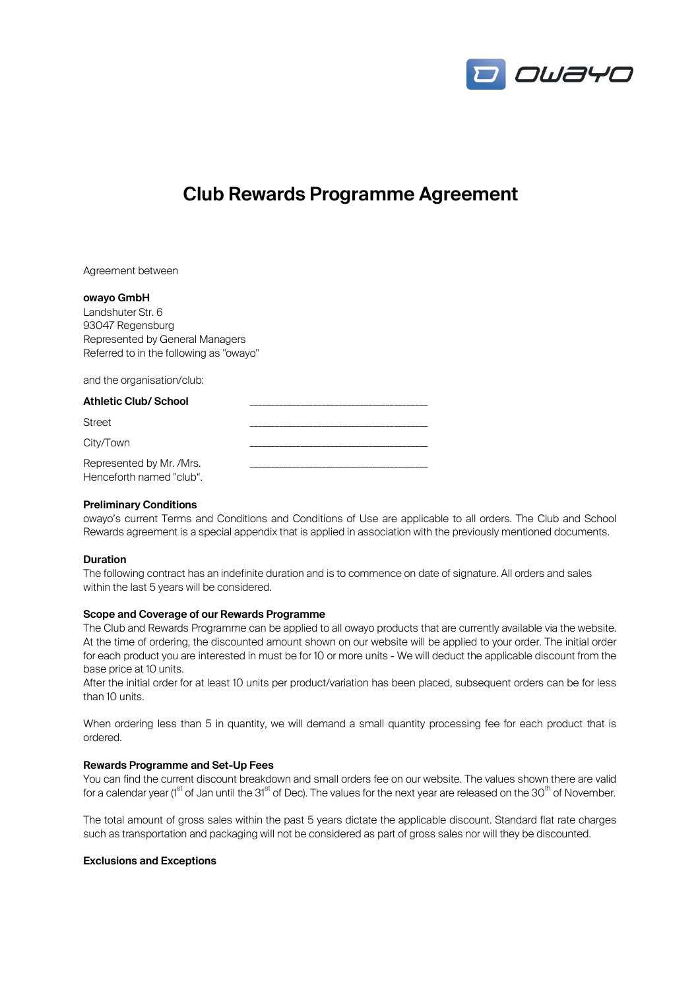

# **Club Rewards Programme Agreement**

Agreement between

#### **owayo GmbH**

Landshuter Str. 6 93047 Regensburg Represented by General Managers Referred to in the following as "owayo"

and the organisation/club:

| <b>Athletic Club/ School</b>                         |  |
|------------------------------------------------------|--|
| <b>Street</b>                                        |  |
| City/Town                                            |  |
| Represented by Mr. /Mrs.<br>Henceforth named "club". |  |

#### **Preliminary Conditions**

owayo's current Terms and Conditions and Conditions of Use are applicable to all orders. The Club and School Rewards agreement is a special appendix that is applied in association with the previously mentioned documents.

#### **Duration**

The following contract has an indefinite duration and is to commence on date of signature. All orders and sales within the last 5 years will be considered.

#### **Scope and Coverage of our Rewards Programme**

The Club and Rewards Programme can be applied to all owayo products that are currently available via the website. At the time of ordering, the discounted amount shown on our website will be applied to your order. The initial order for each product you are interested in must be for 10 or more units - We will deduct the applicable discount from the base price at 10 units.

After the initial order for at least 10 units per product/variation has been placed, subsequent orders can be for less than 10 units.

When ordering less than 5 in quantity, we will demand a small quantity processing fee for each product that is ordered.

### **Rewards Programme and Set-Up Fees**

You can find the current discount breakdown and small orders fee on our website. The values shown there are valid for a calendar year ( $1<sup>st</sup>$  of Jan until the 31 $<sup>st</sup>$  of Dec). The values for the next year are released on the 30<sup>th</sup> of November.</sup>

The total amount of gross sales within the past 5 years dictate the applicable discount. Standard flat rate charges such as transportation and packaging will not be considered as part of gross sales nor will they be discounted.

#### **Exclusions and Exceptions**